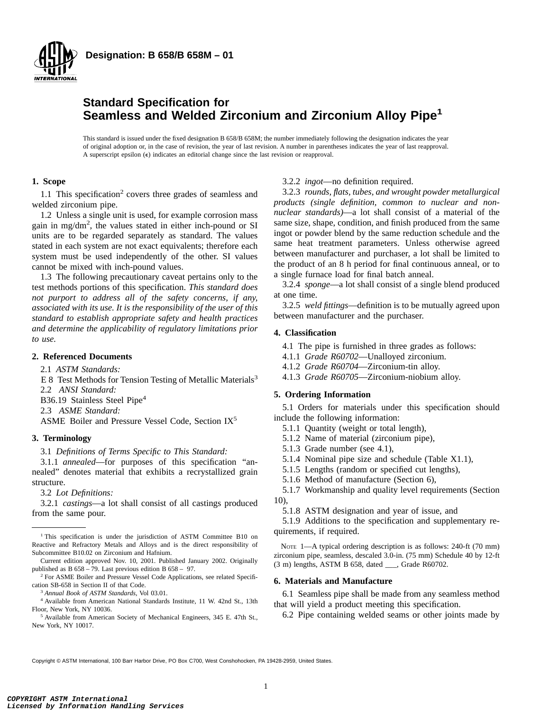

**Designation: B 658/B 658M – 01**

## **Standard Specification for Seamless and Welded Zirconium and Zirconium Alloy Pipe<sup>1</sup>**

This standard is issued under the fixed designation B 658/B 658M; the number immediately following the designation indicates the year of original adoption or, in the case of revision, the year of last revision. A number in parentheses indicates the year of last reapproval. A superscript epsilon  $(\epsilon)$  indicates an editorial change since the last revision or reapproval.

## **1. Scope**

1.1 This specification<sup>2</sup> covers three grades of seamless and welded zirconium pipe.

1.2 Unless a single unit is used, for example corrosion mass gain in mg/dm<sup>2</sup> , the values stated in either inch-pound or SI units are to be regarded separately as standard. The values stated in each system are not exact equivalents; therefore each system must be used independently of the other. SI values cannot be mixed with inch-pound values.

1.3 The following precautionary caveat pertains only to the test methods portions of this specification. *This standard does not purport to address all of the safety concerns, if any, associated with its use. It is the responsibility of the user of this standard to establish appropriate safety and health practices and determine the applicability of regulatory limitations prior to use.*

#### **2. Referenced Documents**

2.1 *ASTM Standards:*

- E 8 Test Methods for Tension Testing of Metallic Materials<sup>3</sup>
- 2.2 *ANSI Standard:*

B36.19 Stainless Steel Pipe<sup>4</sup>

2.3 *ASME Standard:*

ASME Boiler and Pressure Vessel Code, Section IX5

## **3. Terminology**

3.1 *Definitions of Terms Specific to This Standard:*

3.1.1 *annealed*—for purposes of this specification "annealed" denotes material that exhibits a recrystallized grain structure.

3.2 *Lot Definitions:*

3.2.1 *castings*—a lot shall consist of all castings produced from the same pour.

Current edition approved Nov. 10, 2001. Published January 2002. Originally published as B 658 – 79. Last previous edition B 658 – 97.

<sup>2</sup> For ASME Boiler and Pressure Vessel Code Applications, see related Specification SB-658 in Section II of that Code.

<sup>3</sup> *Annual Book of ASTM Standards*, Vol 03.01.

<sup>4</sup> Available from American National Standards Institute, 11 W. 42nd St., 13th Floor, New York, NY 10036.

<sup>5</sup> Available from American Society of Mechanical Engineers, 345 E. 47th St., New York, NY 10017.

#### 3.2.2 *ingot*—no definition required.

3.2.3 *rounds, flats, tubes, and wrought powder metallurgical products (single definition, common to nuclear and nonnuclear standards)*—a lot shall consist of a material of the same size, shape, condition, and finish produced from the same ingot or powder blend by the same reduction schedule and the same heat treatment parameters. Unless otherwise agreed between manufacturer and purchaser, a lot shall be limited to the product of an 8 h period for final continuous anneal, or to a single furnace load for final batch anneal.

3.2.4 *sponge*—a lot shall consist of a single blend produced at one time.

3.2.5 *weld fittings*—definition is to be mutually agreed upon between manufacturer and the purchaser.

#### **4. Classification**

4.1 The pipe is furnished in three grades as follows:

- 4.1.1 *Grade R60702*—Unalloyed zirconium.
- 4.1.2 *Grade R60704*—Zirconium-tin alloy.
- 4.1.3 *Grade R60705*—Zirconium-niobium alloy.

## **5. Ordering Information**

5.1 Orders for materials under this specification should include the following information:

- 5.1.1 Quantity (weight or total length),
- 5.1.2 Name of material (zirconium pipe),
- 5.1.3 Grade number (see 4.1),
- 5.1.4 Nominal pipe size and schedule (Table X1.1),
- 5.1.5 Lengths (random or specified cut lengths),
- 5.1.6 Method of manufacture (Section 6),

5.1.7 Workmanship and quality level requirements (Section 10),

5.1.8 ASTM designation and year of issue, and

5.1.9 Additions to the specification and supplementary requirements, if required.

NOTE 1—A typical ordering description is as follows: 240-ft (70 mm) zirconium pipe, seamless, descaled 3.0-in. (75 mm) Schedule 40 by 12-ft (3 m) lengths, ASTM B 658, dated \_\_\_, Grade R60702.

#### **6. Materials and Manufacture**

6.1 Seamless pipe shall be made from any seamless method that will yield a product meeting this specification.

6.2 Pipe containing welded seams or other joints made by

Copyright © ASTM International, 100 Barr Harbor Drive, PO Box C700, West Conshohocken, PA 19428-2959, United States.

<sup>&</sup>lt;sup>1</sup> This specification is under the jurisdiction of ASTM Committee B10 on Reactive and Refractory Metals and Alloys and is the direct responsibility of Subcommittee B10.02 on Zirconium and Hafnium.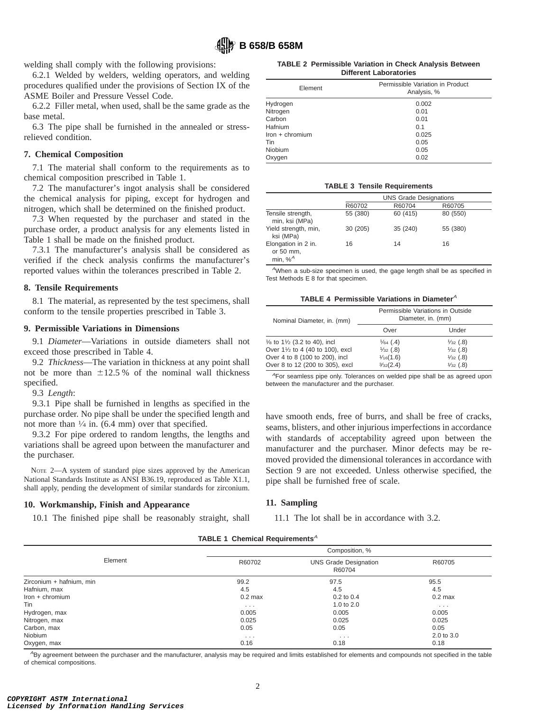welding shall comply with the following provisions:

6.2.1 Welded by welders, welding operators, and welding procedures qualified under the provisions of Section IX of the ASME Boiler and Pressure Vessel Code.

6.2.2 Filler metal, when used, shall be the same grade as the base metal.

6.3 The pipe shall be furnished in the annealed or stressrelieved condition.

## **7. Chemical Composition**

7.1 The material shall conform to the requirements as to chemical composition prescribed in Table 1.

7.2 The manufacturer's ingot analysis shall be considered the chemical analysis for piping, except for hydrogen and nitrogen, which shall be determined on the finished product.

7.3 When requested by the purchaser and stated in the purchase order, a product analysis for any elements listed in Table 1 shall be made on the finished product.

7.3.1 The manufacturer's analysis shall be considered as verified if the check analysis confirms the manufacturer's reported values within the tolerances prescribed in Table 2.

#### **8. Tensile Requirements**

8.1 The material, as represented by the test specimens, shall conform to the tensile properties prescribed in Table 3.

### **9. Permissible Variations in Dimensions**

9.1 *Diameter*—Variations in outside diameters shall not exceed those prescribed in Table 4.

9.2 *Thickness*—The variation in thickness at any point shall not be more than  $\pm 12.5$  % of the nominal wall thickness specified.

#### 9.3 *Length*:

9.3.1 Pipe shall be furnished in lengths as specified in the purchase order. No pipe shall be under the specified length and not more than  $\frac{1}{4}$  in. (6.4 mm) over that specified.

9.3.2 For pipe ordered to random lengths, the lengths and variations shall be agreed upon between the manufacturer and the purchaser.

NOTE 2—A system of standard pipe sizes approved by the American National Standards Institute as ANSI B36.19, reproduced as Table X1.1, shall apply, pending the development of similar standards for zirconium.

#### **10. Workmanship, Finish and Appearance**

10.1 The finished pipe shall be reasonably straight, shall

**TABLE 2 Permissible Variation in Check Analysis Between Different Laboratories**

| Element         | Permissible Variation in Product<br>Analysis, % |  |  |  |  |  |
|-----------------|-------------------------------------------------|--|--|--|--|--|
| Hydrogen        | 0.002                                           |  |  |  |  |  |
| Nitrogen        | 0.01                                            |  |  |  |  |  |
| Carbon          | 0.01                                            |  |  |  |  |  |
| Hafnium         | 0.1                                             |  |  |  |  |  |
| Iron + chromium | 0.025                                           |  |  |  |  |  |
| Tin             | 0.05                                            |  |  |  |  |  |
| Niobium         | 0.05                                            |  |  |  |  |  |
| Oxygen          | 0.02                                            |  |  |  |  |  |

#### **TABLE 3 Tensile Requirements**

|                                                |          | <b>UNS Grade Designations</b> |          |  |  |  |  |  |  |
|------------------------------------------------|----------|-------------------------------|----------|--|--|--|--|--|--|
|                                                | R60702   | R60704                        | R60705   |  |  |  |  |  |  |
| Tensile strength,<br>min, ksi (MPa)            | 55 (380) | 60 (415)                      | 80 (550) |  |  |  |  |  |  |
| Yield strength, min,<br>ksi (MPa)              | 30 (205) | 35 (240)                      | 55 (380) |  |  |  |  |  |  |
| Elongation in 2 in.<br>or 50 mm,<br>min, $%^A$ | 16       | 14                            | 16       |  |  |  |  |  |  |

 $A$ When a sub-size specimen is used, the gage length shall be as specified in Test Methods E 8 for that specimen.

**TABLE 4 Permissible Variations in Diameter**<sup>A</sup>

| Nominal Diameter, in. (mm)                         | Permissible Variations in Outside<br>Diameter, in. (mm) |                     |  |  |  |  |
|----------------------------------------------------|---------------------------------------------------------|---------------------|--|--|--|--|
|                                                    | Over                                                    | Under               |  |  |  |  |
| $\frac{1}{8}$ to 1 $\frac{1}{2}$ (3.2 to 40), incl | $\frac{1}{64}$ (.4)                                     | $\frac{1}{32}$ (.8) |  |  |  |  |
| Over 11/2 to 4 (40 to 100), excl                   | $\frac{1}{32}$ (.8)                                     | $\frac{1}{32}$ (.8) |  |  |  |  |
| Over 4 to 8 (100 to 200), incl                     | 1/16(1.6)                                               | $\frac{1}{32}$ (.8) |  |  |  |  |
| Over 8 to 12 (200 to 305), excl                    | $\frac{3}{32}(2.4)$                                     | $\frac{1}{32}$ (.8) |  |  |  |  |

<sup>A</sup>For seamless pipe only. Tolerances on welded pipe shall be as agreed upon between the manufacturer and the purchaser.

have smooth ends, free of burrs, and shall be free of cracks, seams, blisters, and other injurious imperfections in accordance with standards of acceptability agreed upon between the manufacturer and the purchaser. Minor defects may be removed provided the dimensional tolerances in accordance with Section 9 are not exceeded. Unless otherwise specified, the pipe shall be furnished free of scale.

#### **11. Sampling**

11.1 The lot shall be in accordance with 3.2.

| TABLE 1 Chemical Requirements <sup>A</sup> |  |
|--------------------------------------------|--|
|--------------------------------------------|--|

|                          |                      | Composition, %                         |            |
|--------------------------|----------------------|----------------------------------------|------------|
| Element                  | R60702               | <b>UNS Grade Designation</b><br>R60704 | R60705     |
| Zirconium + hafnium, min | 99.2                 | 97.5                                   | 95.5       |
| Hafnium, max             | 4.5                  | 4.5                                    | 4.5        |
| $lron + chromium$        | $0.2$ max            | $0.2$ to $0.4$                         | $0.2$ max  |
| Tin                      | $\cdots$             | 1.0 to $2.0$                           | $\cdots$   |
| Hydrogen, max            | 0.005                | 0.005                                  | 0.005      |
| Nitrogen, max            | 0.025                | 0.025                                  | 0.025      |
| Carbon, max              | 0.05                 | 0.05                                   | 0.05       |
| Niobium                  | $\sim$ $\sim$ $\sim$ | $\cdots$                               | 2.0 to 3.0 |
| Oxygen, max              | 0.16                 | 0.18                                   | 0.18       |

<sup>A</sup>By agreement between the purchaser and the manufacturer, analysis may be required and limits established for elements and compounds not specified in the table of chemical compositions.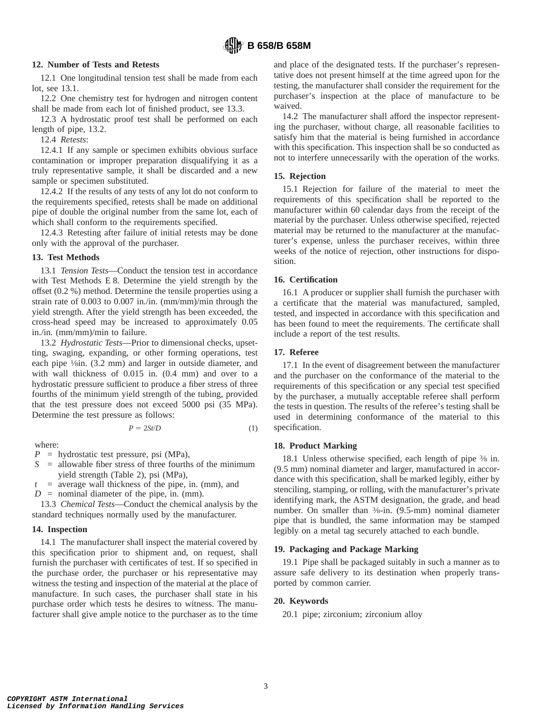## **12. Number of Tests and Retests**

12.1 One longitudinal tension test shall be made from each lot, see 13.1.

12.2 One chemistry test for hydrogen and nitrogen content shall be made from each lot of finished product, see 13.3.

12.3 A hydrostatic proof test shall be performed on each length of pipe, 13.2.

12.4 *Retests*:

12.4.1 If any sample or specimen exhibits obvious surface contamination or improper preparation disqualifying it as a truly representative sample, it shall be discarded and a new sample or specimen substituted.

12.4.2 If the results of any tests of any lot do not conform to the requirements specified, retests shall be made on additional pipe of double the original number from the same lot, each of which shall conform to the requirements specified.

12.4.3 Retesting after failure of initial retests may be done only with the approval of the purchaser.

## **13. Test Methods**

13.1 *Tension Tests*—Conduct the tension test in accordance with Test Methods E 8. Determine the yield strength by the offset (0.2 %) method. Determine the tensile properties using a strain rate of 0.003 to 0.007 in./in. (mm/mm)/min through the yield strength. After the yield strength has been exceeded, the cross-head speed may be increased to approximately 0.05 in./in. (mm/mm)/min to failure.

13.2 *Hydrostatic Tests*—Prior to dimensional checks, upsetting, swaging, expanding, or other forming operations, test each pipe  $\frac{1}{\sin}$ . (3.2 mm) and larger in outside diameter, and with wall thickness of 0.015 in. (0.4 mm) and over to a hydrostatic pressure sufficient to produce a fiber stress of three fourths of the minimum yield strength of the tubing, provided that the test pressure does not exceed 5000 psi (35 MPa). Determine the test pressure as follows:

$$
P = 2St/D \tag{1}
$$

where:

*P* = hydrostatic test pressure, psi (MPa),

- *S* = allowable fiber stress of three fourths of the minimum yield strength (Table 2), psi (MPa),
- $t =$  average wall thickness of the pipe, in. (mm), and
- $D =$  nominal diameter of the pipe, in. (mm).

13.3 *Chemical Tests*—Conduct the chemical analysis by the standard techniques normally used by the manufacturer.

## **14. Inspection**

14.1 The manufacturer shall inspect the material covered by this specification prior to shipment and, on request, shall furnish the purchaser with certificates of test. If so specified in the purchase order, the purchaser or his representative may witness the testing and inspection of the material at the place of manufacture. In such cases, the purchaser shall state in his purchase order which tests he desires to witness. The manufacturer shall give ample notice to the purchaser as to the time and place of the designated tests. If the purchaser's representative does not present himself at the time agreed upon for the testing, the manufacturer shall consider the requirement for the purchaser's inspection at the place of manufacture to be waived.

14.2 The manufacturer shall afford the inspector representing the purchaser, without charge, all reasonable facilities to satisfy him that the material is being furnished in accordance with this specification. This inspection shall be so conducted as not to interfere unnecessarily with the operation of the works.

## **15. Rejection**

15.1 Rejection for failure of the material to meet the requirements of this specification shall be reported to the manufacturer within 60 calendar days from the receipt of the material by the purchaser. Unless otherwise specified, rejected material may be returned to the manufacturer at the manufacturer's expense, unless the purchaser receives, within three weeks of the notice of rejection, other instructions for disposition.

## **16. Certification**

16.1 A producer or supplier shall furnish the purchaser with a certificate that the material was manufactured, sampled, tested, and inspected in accordance with this specification and has been found to meet the requirements. The certificate shall include a report of the test results.

## **17. Referee**

17.1 In the event of disagreement between the manufacturer and the purchaser on the conformance of the material to the requirements of this specification or any special test specified by the purchaser, a mutually acceptable referee shall perform the tests in question. The results of the referee's testing shall be used in determining conformance of the material to this specification.

## **18. Product Marking**

18.1 Unless otherwise specified, each length of pipe  $\frac{3}{8}$  in. (9.5 mm) nominal diameter and larger, manufactured in accordance with this specification, shall be marked legibly, either by stenciling, stamping, or rolling, with the manufacturer's private identifying mark, the ASTM designation, the grade, and head number. On smaller than 3⁄8-in. (9.5-mm) nominal diameter pipe that is bundled, the same information may be stamped legibly on a metal tag securely attached to each bundle.

## **19. Packaging and Package Marking**

19.1 Pipe shall be packaged suitably in such a manner as to assure safe delivery to its destination when properly transported by common carrier.

## **20. Keywords**

20.1 pipe; zirconium; zirconium alloy